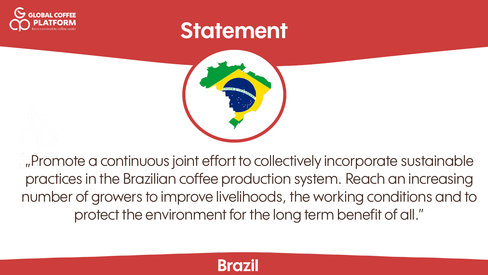

## **Statement**



"Promote a continuous joint effort to collectively incorporate sustainable practices in the Brazilian coffee production system. Reach an increasing number of growers to improve livelihoods, the working conditions and to protect the environment for the long term benefit of all."

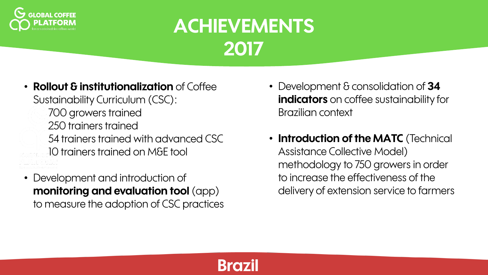

**Brazil**

• **Rollout & institutionalization** of Coffee Sustainability Curriculum (CSC):

> 700 growers trained 250 trainers trained 54 trainers trained with advanced CSC 10 trainers trained on M&E tool

• Development and introduction of **monitoring and evaluation tool** (app) to measure the adoption of CSC practices

- Development & consolidation of **34 indicators** on coffee sustainability for Brazilian context
- **Introduction of the MATC** (Technical Assistance Collective Model) methodology to 750 growers in order to increase the effectiveness of the delivery of extension service to farmers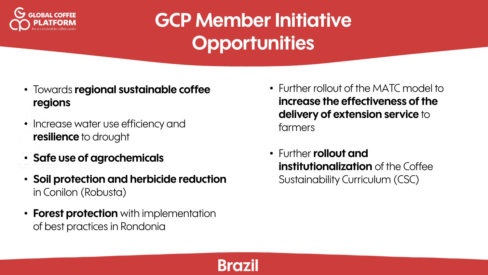

- Towards **regional sustainable coffee regions**
- Increase water use efficiency and **resilience** to drought
- **Safe use of agrochemicals**
- **Soil protection and herbicide reduction**  in Conilon (Robusta)
- **Forest protection** with implementation of best practices in Rondonia
- Further rollout of the MATC model to **increase the effectiveness of the delivery of extension service** to farmers
- Further **rollout and institutionalization** of the Coffee Sustainability Curriculum (CSC)

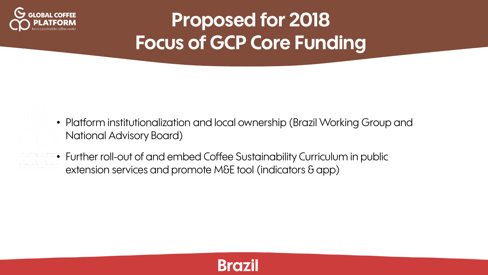

- Platform institutionalization and local ownership (Brazil Working Group and National Advisory Board)
- Further roll-out of and embed Coffee Sustainability Curriculum in public extension services and promote M&E tool (indicators & app)

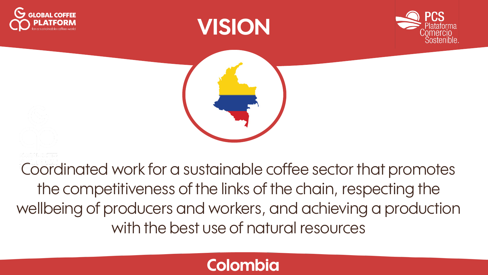







Coordinated work for a sustainable coffee sector that promotes the competitiveness of the links of the chain, respecting the wellbeing of producers and workers, and achieving a production with the best use of natural resources

### **Colombia**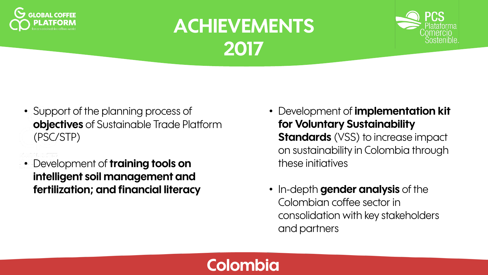



- Support of the planning process of **objectives** of Sustainable Trade Platform (PSC/STP)
- Development of **training tools on intelligent soil management and fertilization; and financial literacy**
- Development of **implementation kit for Voluntary Sustainability Standards** (VSS) to increase impact on sustainability in Colombia through these initiatives
- In-depth **gender analysis** of the Colombian coffee sector in consolidation with key stakeholders and partners

### **Colombia**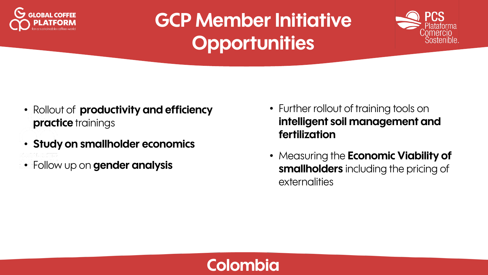



- Rollout of **productivity and efficiency practice** trainings
- **Study on smallholder economics**
- Follow up on **gender analysis**
- Further rollout of training tools on **intelligent soil management and fertilization**
- Measuring the **Economic Viability of smallholders** including the pricing of externalities

### **Colombia**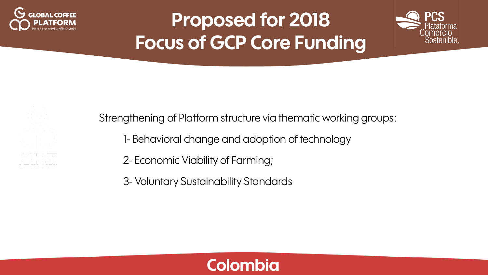





Strengthening of Platform structure via thematic working groups:

- 1- Behavioral change and adoption of technology
- 2- Economic Viability of Farming;
- 3- Voluntary Sustainability Standards

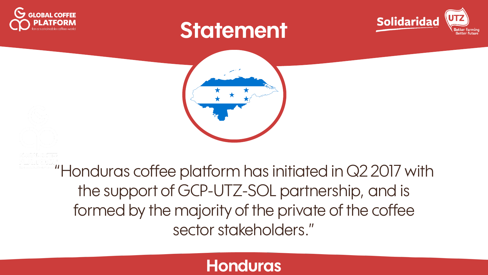

## **Statement**





"Honduras coffee platform has initiated in Q2 2017 with the support of GCP-UTZ-SOL partnership, and is formed by the majority of the private of the coffee sector stakeholders."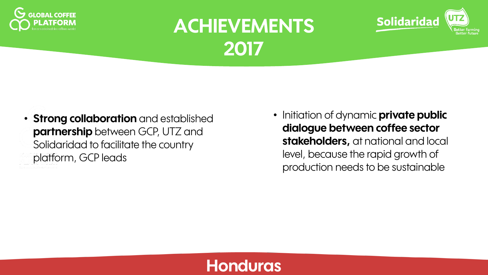



• Initiation of dynamic **private public dialogue between coffee sector stakeholders,** at national and local level, because the rapid growth of production needs to be sustainable

**Solidaridad**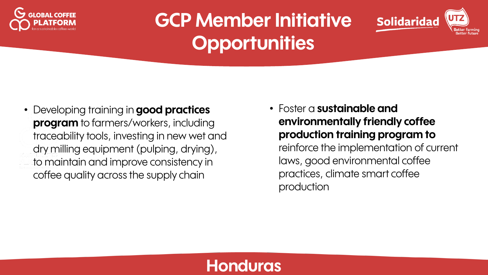



• Developing training in **good practices program** to farmers/workers, including traceability tools, investing in new wet and dry milling equipment (pulping, drying), to maintain and improve consistency in coffee quality across the supply chain

• Foster a **sustainable and environmentally friendly coffee production training program to** reinforce the implementation of current laws, good environmental coffee practices, climate smart coffee production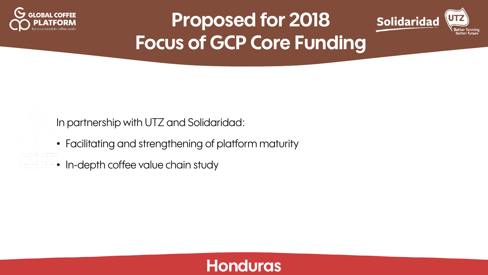



In partnership with UTZ and Solidaridad:

- Facilitating and strengthening of platform maturity
- In-depth coffee value chain study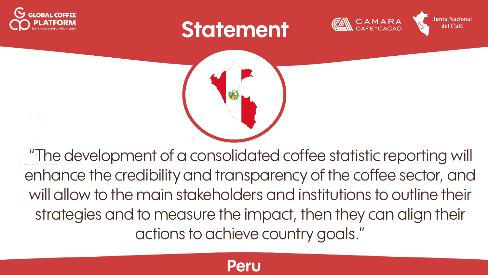





**Junta Nacional** 



"The development of a consolidated coffee statistic reporting will enhance the credibility and transparency of the coffee sector, and will allow to the main stakeholders and institutions to outline their strategies and to measure the impact, then they can align their actions to achieve country goals."

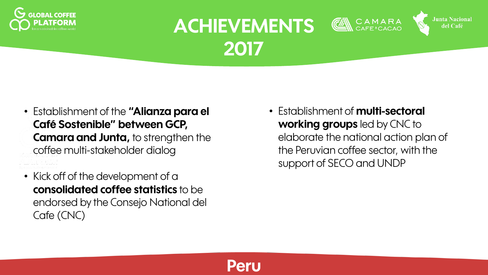



- Establishment of the **"Alianza para el Café Sostenible" between GCP, Camara and Junta,** to strengthen the coffee multi-stakeholder dialog
- Kick off of the development of a **consolidated coffee statistics** to be endorsed by the Consejo National del Cafe (CNC)

• Establishment of **multi-sectoral working groups** led by CNC to elaborate the national action plan of the Peruvian coffee sector, with the support of SECO and UNDP

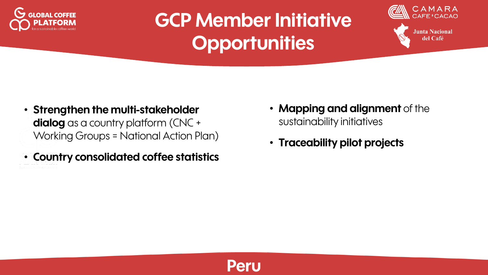



**Junta Nacional** del Café

- **Strengthen the multi-stakeholder dialog** as a country platform (CNC + Working Groups = National Action Plan)
- **Country consolidated coffee statistics**
- **Mapping and alignment** of the sustainability initiatives
- **Traceability pilot projects**

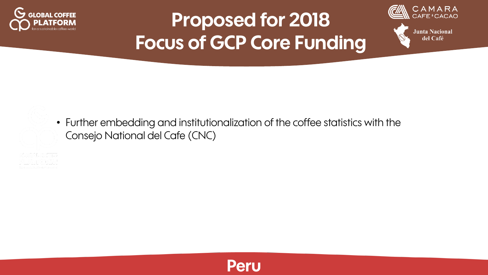



• Further embedding and institutionalization of the coffee statistics with the Consejo National del Cafe (CNC)

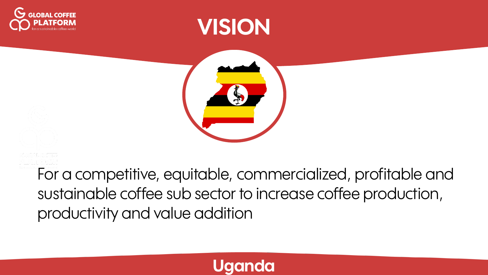





For a competitive, equitable, commercialized, profitable and sustainable coffee sub sector to increase coffee production, productivity and value addition

### **Uganda**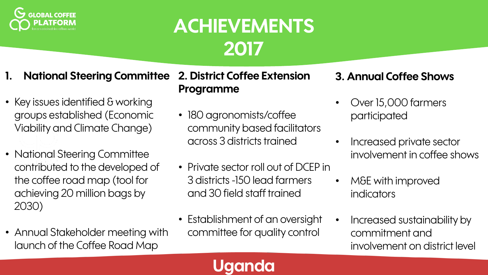

- **1. National Steering Committee**
- Key issues identified & working groups established (Economic Viability and Climate Change)
- National Steering Committee contributed to the developed of the coffee road map (tool for achieving 20 million bags by 2030)
- Annual Stakeholder meeting with launch of the Coffee Road Map

**2. District Coffee Extension Programme**

- 180 agronomists/coffee community based facilitators across 3 districts trained
- Private sector roll out of DCEP in 3 districts -150 lead farmers and 30 field staff trained
- Establishment of an oversight committee for quality control

**Uganda**

#### **3. Annual Coffee Shows**

- Over 15,000 farmers participated
- Increased private sector involvement in coffee shows
- M&E with improved indicators
- Increased sustainability by commitment and involvement on district level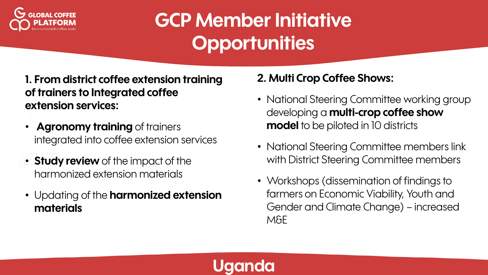

**1. From district coffee extension training of trainers to Integrated coffee extension services:**

- **Agronomy training** of trainers integrated into coffee extension services
- **Study review** of the impact of the harmonized extension materials
- Updating of the **harmonized extension materials**

#### **2. Multi Crop Coffee Shows:**

- National Steering Committee working group developing a **multi-crop coffee show model** to be piloted in 10 districts
- National Steering Committee members link with District Steering Committee members
- Workshops (dissemination of findings to farmers on Economic Viability, Youth and Gender and Climate Change) – increased M&E

### **Uganda**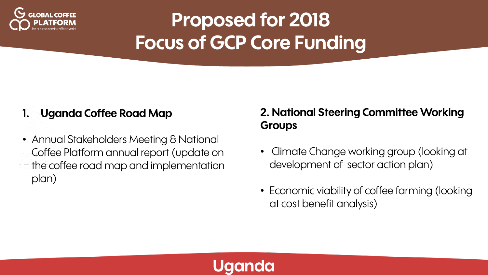

#### **1. Uganda Coffee Road Map**

• Annual Stakeholders Meeting & National Coffee Platform annual report (update on the coffee road map and implementation plan)

#### **2. National Steering Committee Working Groups**

- Climate Change working group (looking at development of sector action plan)
- Economic viability of coffee farming (looking at cost benefit analysis)

### **Uganda**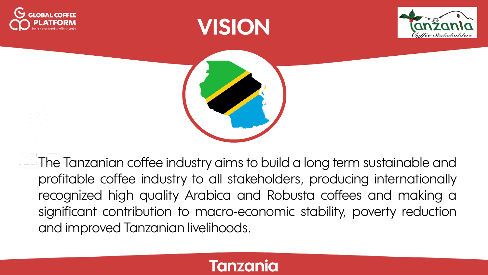







The Tanzanian coffee industry aims to build a long term sustainable and profitable coffee industry to all stakeholders, producing internationally recognized high quality Arabica and Robusta coffees and making a significant contribution to macro-economic stability, poverty reduction and improved Tanzanian livelihoods.

### **Tanzania**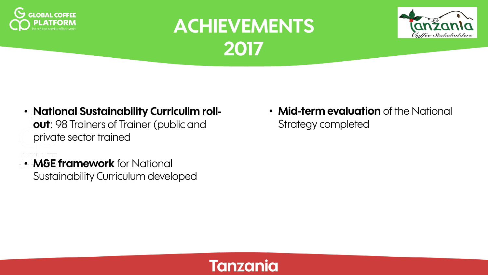



- **National Sustainability Curriculim rollout**: 98 Trainers of Trainer (public and private sector trained
- **M&E framework** for National Sustainability Curriculum developed

• **Mid-term evaluation** of the National Strategy completed

### **Tanzania**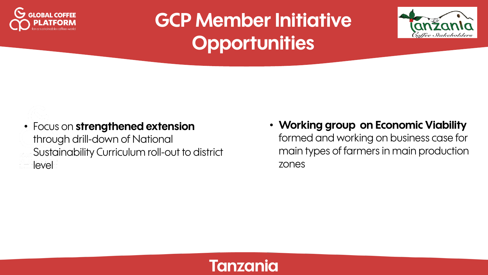



• Focus on **strengthened extension** through drill-down of National Sustainability Curriculum roll-out to district level

• **Working group on Economic Viability** formed and working on business case for main types of farmers in main production zones

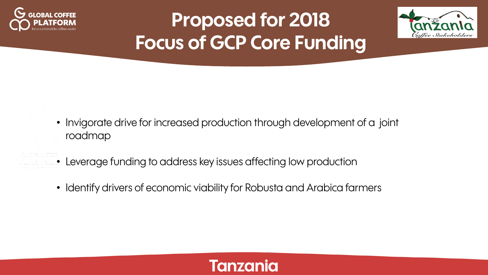



- Invigorate drive for increased production through development of a joint roadmap
- Leverage funding to address key issues affecting low production
- Identify drivers of economic viability for Robusta and Arabica farmers

### **Tanzania**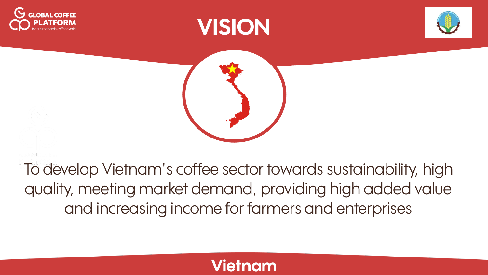







To develop Vietnam's coffee sector towards sustainability, high quality, meeting market demand, providing high added value and increasing income for farmers and enterprises

### **Vietnam**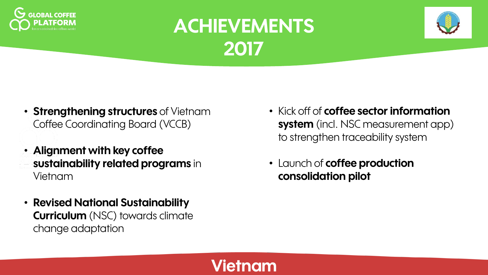



- **Strengthening structures** of Vietnam Coffee Coordinating Board (VCCB)
- **Alignment with key coffee sustainability related programs** in Vietnam
- **Revised National Sustainability Curriculum** (NSC) towards climate change adaptation
- Kick off of **coffee sector information system** (incl. NSC measurement app) to strengthen traceability system
- Launch of **coffee production consolidation pilot**

### **Vietnam**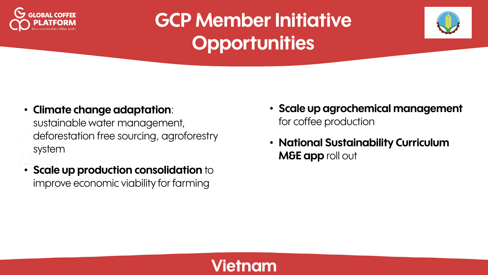



• **Climate change adaptation**:

sustainable water management, deforestation free sourcing, agroforestry system

• **Scale up production consolidation** to improve economic viability for farming

- **Scale up agrochemical management**  for coffee production
- **National Sustainability Curriculum M&E app** roll out

### **nam**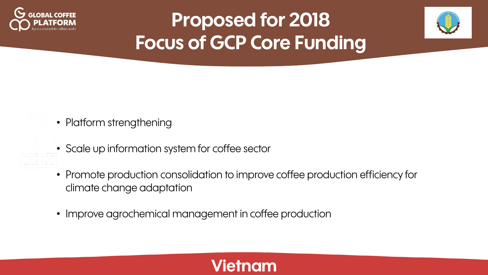



- Platform strengthening
- Scale up information system for coffee sector
- Promote production consolidation to improve coffee production efficiency for climate change adaptation
- Improve agrochemical management in coffee production

### **Vietnam**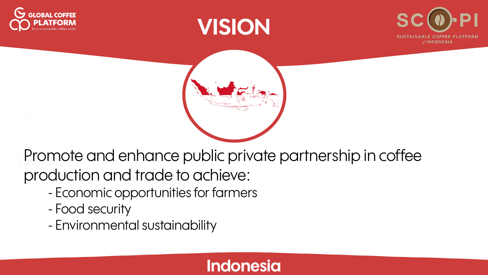







Promote and enhance public private partnership in coffee production and trade to achieve:

- Economic opportunities for farmers
- Food security
- Environmental sustainability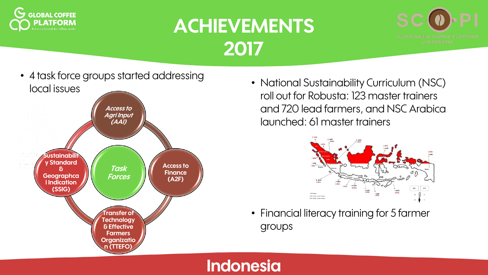





• National Sustainability Curriculum (NSC) roll out for Robusta: 123 master trainers and 720 lead farmers, and NSC Arabica launched: 61 master trainers



• Financial literacy training for 5 farmer groups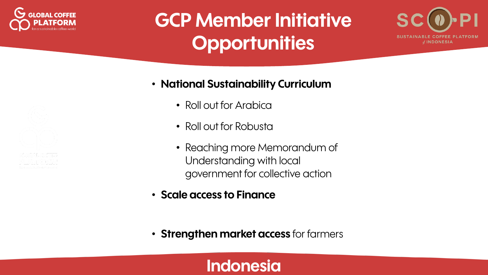



#### • **National Sustainability Curriculum**

- Roll out for Arabica
- Roll out for Robusta
- Reaching more Memorandum of Understanding with local government for collective action
- **Scale access to Finance**
- **Strengthen market access** for farmers